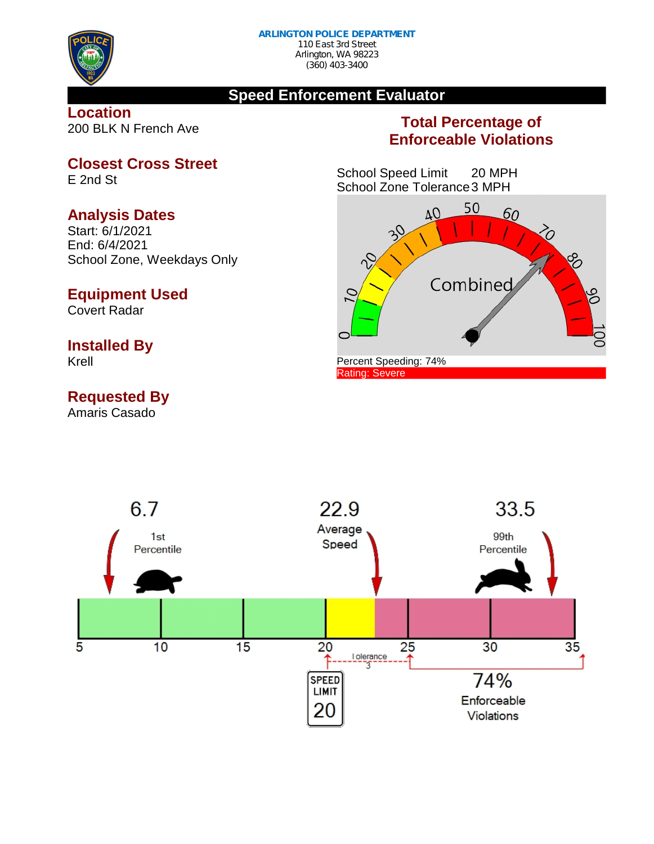

#### **Speed Enforcement Evaluator**

**Location** 200 BLK N French Ave

## **Total Percentage of Enforceable Violations**

School Speed Limit 20 MPH School Zone Tolerance3 MPH



**Closest Cross Street**

E 2nd St

#### **Analysis Dates**

Start: 6/1/2021 End: 6/4/2021 School Zone, Weekdays Only

### **Equipment Used**

Covert Radar

### **Installed By**

Krell

# **Requested By**

Amaris Casado